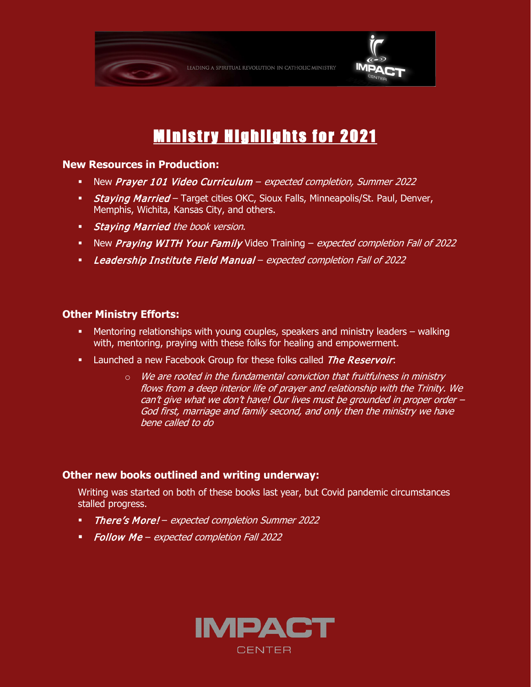

# Ministry Highlights for 2021

#### **New Resources in Production:**

- New Prayer 101 Video Curriculum expected completion, Summer 2022
- **Staying Married** Target cities OKC, Sioux Falls, Minneapolis/St. Paul, Denver, Memphis, Wichita, Kansas City, and others.
- **Staying Married the book version.**
- New Praying WITH Your Family Video Training expected completion Fall of 2022
- Leadership Institute Field Manual expected completion Fall of 2022

#### **Other Ministry Efforts:**

- Mentoring relationships with young couples, speakers and ministry leaders walking with, mentoring, praying with these folks for healing and empowerment.
- Launched a new Facebook Group for these folks called The Reservoir:
	- $\circ$  We are rooted in the fundamental conviction that fruitfulness in ministry flows from a deep interior life of prayer and relationship with the Trinity. We can't give what we don't have! Our lives must be grounded in proper order – God first, marriage and family second, and only then the ministry we have bene called to do

#### **Other new books outlined and writing underway:**

Writing was started on both of these books last year, but Covid pandemic circumstances stalled progress.

- **There's More!** expected completion Summer 2022
- **Follow Me** expected completion Fall 2022